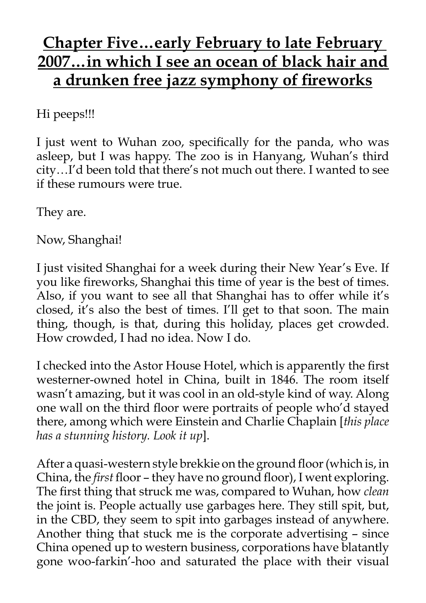## **Chapter Five…early February to late February 2007…in which I see an ocean of black hair and a drunken free jazz symphony of fireworks**

Hi peeps!!!

I just went to Wuhan zoo, specifically for the panda, who was asleep, but I was happy. The zoo is in Hanyang, Wuhan's third city…I'd been told that there's not much out there. I wanted to see if these rumours were true.

They are.

Now, Shanghai!

I just visited Shanghai for a week during their New Year's Eve. If you like fireworks, Shanghai this time of year is the best of times. Also, if you want to see all that Shanghai has to offer while it's closed, it's also the best of times. I'll get to that soon. The main thing, though, is that, during this holiday, places get crowded. How crowded, I had no idea. Now I do.

I checked into the Astor House Hotel, which is apparently the first westerner-owned hotel in China, built in 1846. The room itself wasn't amazing, but it was cool in an old-style kind of way. Along one wall on the third floor were portraits of people who'd stayed there, among which were Einstein and Charlie Chaplain [*this place has a stunning history. Look it up*].

After a quasi-western style brekkie on the ground floor (which is, in China, the *first* floor – they have no ground floor), I went exploring. The first thing that struck me was, compared to Wuhan, how *clean* the joint is. People actually use garbages here. They still spit, but, in the CBD, they seem to spit into garbages instead of anywhere. Another thing that stuck me is the corporate advertising – since China opened up to western business, corporations have blatantly gone woo-farkin'-hoo and saturated the place with their visual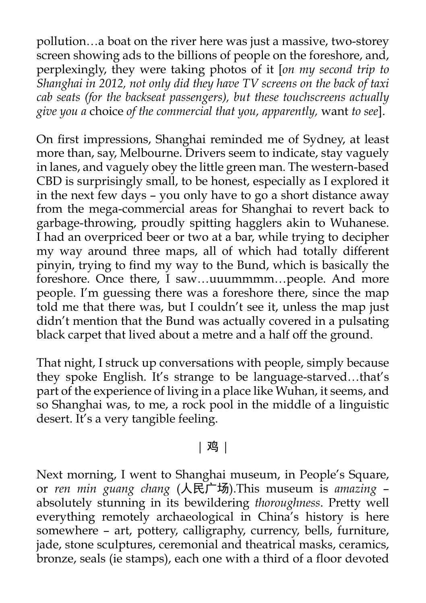pollution…a boat on the river here was just a massive, two-storey screen showing ads to the billions of people on the foreshore, and, perplexingly, they were taking photos of it [*on my second trip to Shanghai in 2012, not only did they have TV screens on the back of taxi cab seats (for the backseat passengers), but these touchscreens actually give you a* choice *of the commercial that you, apparently,* want *to see*].

On first impressions, Shanghai reminded me of Sydney, at least more than, say, Melbourne. Drivers seem to indicate, stay vaguely in lanes, and vaguely obey the little green man. The western-based CBD is surprisingly small, to be honest, especially as I explored it in the next few days – you only have to go a short distance away from the mega-commercial areas for Shanghai to revert back to garbage-throwing, proudly spitting hagglers akin to Wuhanese. I had an overpriced beer or two at a bar, while trying to decipher my way around three maps, all of which had totally different pinyin, trying to find my way to the Bund, which is basically the foreshore. Once there, I saw...uuummmm...people. And more people. I'm guessing there was a foreshore there, since the map told me that there was, but I couldn't see it, unless the map just didn't mention that the Bund was actually covered in a pulsating black carpet that lived about a metre and a half off the ground.

That night, I struck up conversations with people, simply because they spoke English. It's strange to be language-starved…that's part of the experience of living in a place like Wuhan, it seems, and so Shanghai was, to me, a rock pool in the middle of a linguistic desert. It's a very tangible feeling.

## | 鸡 |

Next morning, I went to Shanghai museum, in People's Square, or *ren min guang chang* (人民广场).This museum is *amazing* – absolutely stunning in its bewildering *thoroughness*. Pretty well everything remotely archaeological in China's history is here somewhere – art, pottery, calligraphy, currency, bells, furniture, jade, stone sculptures, ceremonial and theatrical masks, ceramics, bronze, seals (ie stamps), each one with a third of a floor devoted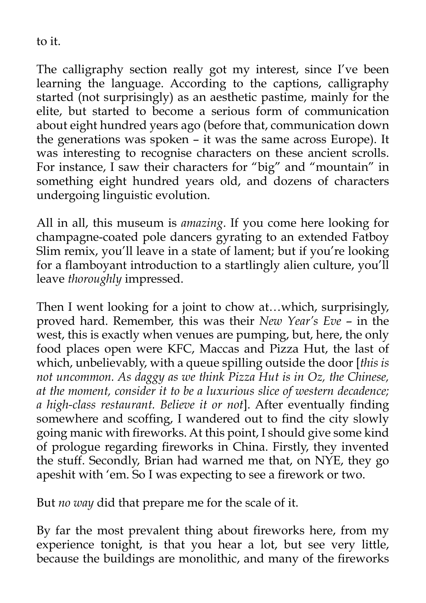to it.

The calligraphy section really got my interest, since I've been learning the language. According to the captions, calligraphy started (not surprisingly) as an aesthetic pastime, mainly for the elite, but started to become a serious form of communication about eight hundred years ago (before that, communication down the generations was spoken – it was the same across Europe). It was interesting to recognise characters on these ancient scrolls. For instance, I saw their characters for "big" and "mountain" in something eight hundred years old, and dozens of characters undergoing linguistic evolution.

All in all, this museum is *amazing*. If you come here looking for champagne-coated pole dancers gyrating to an extended Fatboy Slim remix, you'll leave in a state of lament; but if you're looking for a flamboyant introduction to a startlingly alien culture, you'll leave *thoroughly* impressed.

Then I went looking for a joint to chow at…which, surprisingly, proved hard. Remember, this was their *New Year's Eve* – in the west, this is exactly when venues are pumping, but, here, the only food places open were KFC, Maccas and Pizza Hut, the last of which, unbelievably, with a queue spilling outside the door [*this is not uncommon. As daggy as we think Pizza Hut is in Oz, the Chinese, at the moment, consider it to be a luxurious slice of western decadence; a high-class restaurant. Believe it or not*]. After eventually finding somewhere and scoffing, I wandered out to find the city slowly going manic with fireworks. At this point, I should give some kind of prologue regarding fireworks in China. Firstly, they invented the stuff. Secondly, Brian had warned me that, on NYE, they go apeshit with 'em. So I was expecting to see a firework or two.

But *no way* did that prepare me for the scale of it.

By far the most prevalent thing about fireworks here, from my experience tonight, is that you hear a lot, but see very little, because the buildings are monolithic, and many of the fireworks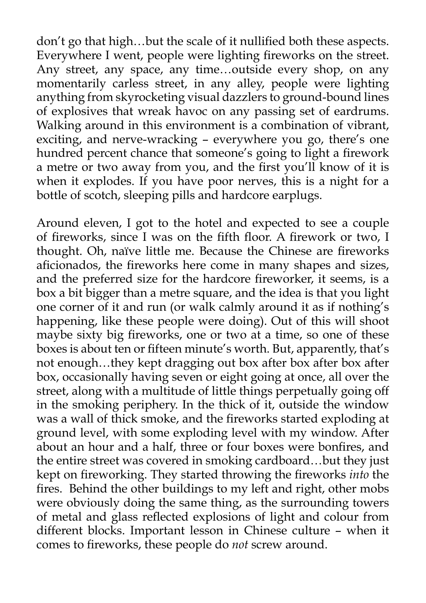don't go that high…but the scale of it nullified both these aspects. Everywhere I went, people were lighting fireworks on the street. Any street, any space, any time…outside every shop, on any momentarily carless street, in any alley, people were lighting anything from skyrocketing visual dazzlers to ground-bound lines of explosives that wreak havoc on any passing set of eardrums. Walking around in this environment is a combination of vibrant, exciting, and nerve-wracking – everywhere you go, there's one hundred percent chance that someone's going to light a firework a metre or two away from you, and the first you'll know of it is when it explodes. If you have poor nerves, this is a night for a bottle of scotch, sleeping pills and hardcore earplugs.

Around eleven, I got to the hotel and expected to see a couple of fireworks, since I was on the fifth floor. A firework or two, I thought. Oh, naïve little me. Because the Chinese are fireworks aficionados, the fireworks here come in many shapes and sizes, and the preferred size for the hardcore fireworker, it seems, is a box a bit bigger than a metre square, and the idea is that you light one corner of it and run (or walk calmly around it as if nothing's happening, like these people were doing). Out of this will shoot maybe sixty big fireworks, one or two at a time, so one of these boxes is about ten or fifteen minute's worth. But, apparently, that's not enough…they kept dragging out box after box after box after box, occasionally having seven or eight going at once, all over the street, along with a multitude of little things perpetually going off in the smoking periphery. In the thick of it, outside the window was a wall of thick smoke, and the fireworks started exploding at ground level, with some exploding level with my window. After about an hour and a half, three or four boxes were bonfires, and the entire street was covered in smoking cardboard…but they just kept on fireworking. They started throwing the fireworks *into* the fires. Behind the other buildings to my left and right, other mobs were obviously doing the same thing, as the surrounding towers of metal and glass reflected explosions of light and colour from different blocks. Important lesson in Chinese culture – when it comes to fireworks, these people do *not* screw around.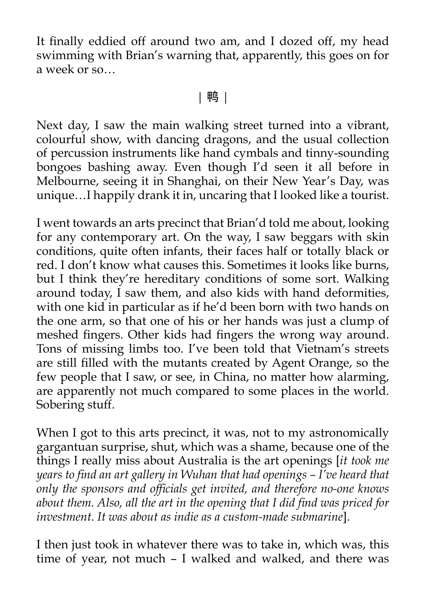It finally eddied off around two am, and I dozed off, my head swimming with Brian's warning that, apparently, this goes on for a week or so…

## | 鸭 |

Next day, I saw the main walking street turned into a vibrant, colourful show, with dancing dragons, and the usual collection of percussion instruments like hand cymbals and tinny-sounding bongoes bashing away. Even though I'd seen it all before in Melbourne, seeing it in Shanghai, on their New Year's Day, was unique…I happily drank it in, uncaring that I looked like a tourist.

I went towards an arts precinct that Brian'd told me about, looking for any contemporary art. On the way, I saw beggars with skin conditions, quite often infants, their faces half or totally black or red. I don't know what causes this. Sometimes it looks like burns, but I think they're hereditary conditions of some sort. Walking around today, I saw them, and also kids with hand deformities, with one kid in particular as if he'd been born with two hands on the one arm, so that one of his or her hands was just a clump of meshed fingers. Other kids had fingers the wrong way around. Tons of missing limbs too. I've been told that Vietnam's streets are still filled with the mutants created by Agent Orange, so the few people that I saw, or see, in China, no matter how alarming, are apparently not much compared to some places in the world. Sobering stuff.

When I got to this arts precinct, it was, not to my astronomically gargantuan surprise, shut, which was a shame, because one of the things I really miss about Australia is the art openings [*it took me years to find an art gallery in Wuhan that had openings – I've heard that only the sponsors and officials get invited, and therefore no-one knows about them. Also, all the art in the opening that I did find was priced for investment. It was about as indie as a custom-made submarine*].

I then just took in whatever there was to take in, which was, this time of year, not much – I walked and walked, and there was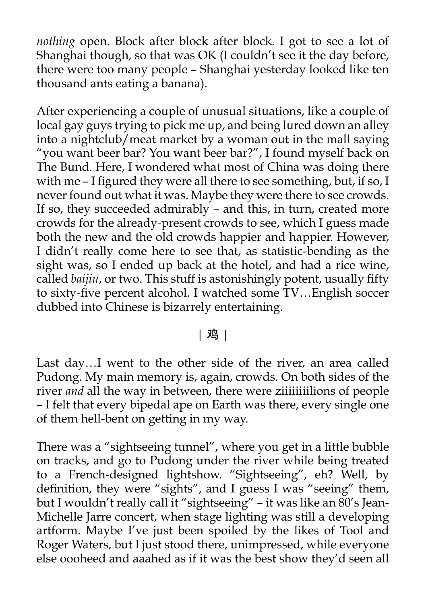*nothing* open. Block after block after block. I got to see a lot of Shanghai though, so that was OK (I couldn't see it the day before, there were too many people – Shanghai yesterday looked like ten thousand ants eating a banana).

After experiencing a couple of unusual situations, like a couple of local gay guys trying to pick me up, and being lured down an alley into a nightclub/meat market by a woman out in the mall saying "you want beer bar? You want beer bar?", I found myself back on The Bund. Here, I wondered what most of China was doing there with me – I figured they were all there to see something, but, if so, I never found out what it was. Maybe they were there to see crowds. If so, they succeeded admirably – and this, in turn, created more crowds for the already-present crowds to see, which I guess made both the new and the old crowds happier and happier. However, I didn't really come here to see that, as statistic-bending as the sight was, so I ended up back at the hotel, and had a rice wine, called *baijiu*, or two. This stuff is astonishingly potent, usually fifty to sixty-five percent alcohol. I watched some TV…English soccer dubbed into Chinese is bizarrely entertaining.

## | 鸡 |

Last day…I went to the other side of the river, an area called Pudong. My main memory is, again, crowds. On both sides of the river *and* all the way in between, there were ziiiiiiiilions of people – I felt that every bipedal ape on Earth was there, every single one of them hell-bent on getting in my way.

There was a "sightseeing tunnel", where you get in a little bubble on tracks, and go to Pudong under the river while being treated to a French-designed lightshow. "Sightseeing", eh? Well, by definition, they were "sights", and I guess I was "seeing" them, but I wouldn't really call it "sightseeing" – it was like an 80's Jean-Michelle Jarre concert, when stage lighting was still a developing artform. Maybe I've just been spoiled by the likes of Tool and Roger Waters, but I just stood there, unimpressed, while everyone else oooheed and aaahed as if it was the best show they'd seen all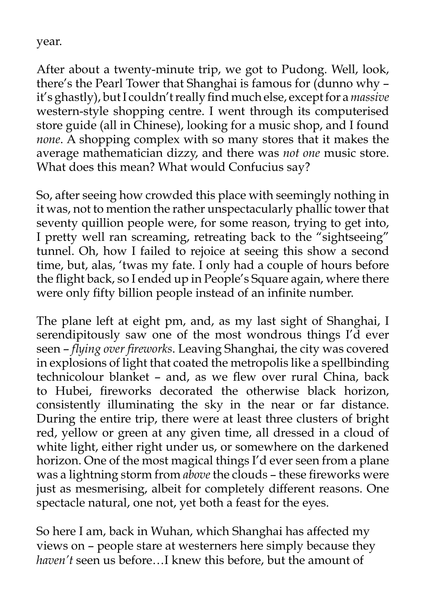year.

After about a twenty-minute trip, we got to Pudong. Well, look, there's the Pearl Tower that Shanghai is famous for (dunno why – it's ghastly), but I couldn't really find much else, except for a *massive* western-style shopping centre. I went through its computerised store guide (all in Chinese), looking for a music shop, and I found *none*. A shopping complex with so many stores that it makes the average mathematician dizzy, and there was *not one* music store. What does this mean? What would Confucius say?

So, after seeing how crowded this place with seemingly nothing in it was, not to mention the rather unspectacularly phallic tower that seventy quillion people were, for some reason, trying to get into, I pretty well ran screaming, retreating back to the "sightseeing" tunnel. Oh, how I failed to rejoice at seeing this show a second time, but, alas, 'twas my fate. I only had a couple of hours before the flight back, so I ended up in People's Square again, where there were only fifty billion people instead of an infinite number.

The plane left at eight pm, and, as my last sight of Shanghai, I serendipitously saw one of the most wondrous things I'd ever seen – *flying over fireworks*. Leaving Shanghai, the city was covered in explosions of light that coated the metropolis like a spellbinding technicolour blanket – and, as we flew over rural China, back to Hubei, fireworks decorated the otherwise black horizon, consistently illuminating the sky in the near or far distance. During the entire trip, there were at least three clusters of bright red, yellow or green at any given time, all dressed in a cloud of white light, either right under us, or somewhere on the darkened horizon. One of the most magical things I'd ever seen from a plane was a lightning storm from *above* the clouds – these fireworks were just as mesmerising, albeit for completely different reasons. One spectacle natural, one not, yet both a feast for the eyes.

So here I am, back in Wuhan, which Shanghai has affected my views on – people stare at westerners here simply because they *haven't* seen us before…I knew this before, but the amount of